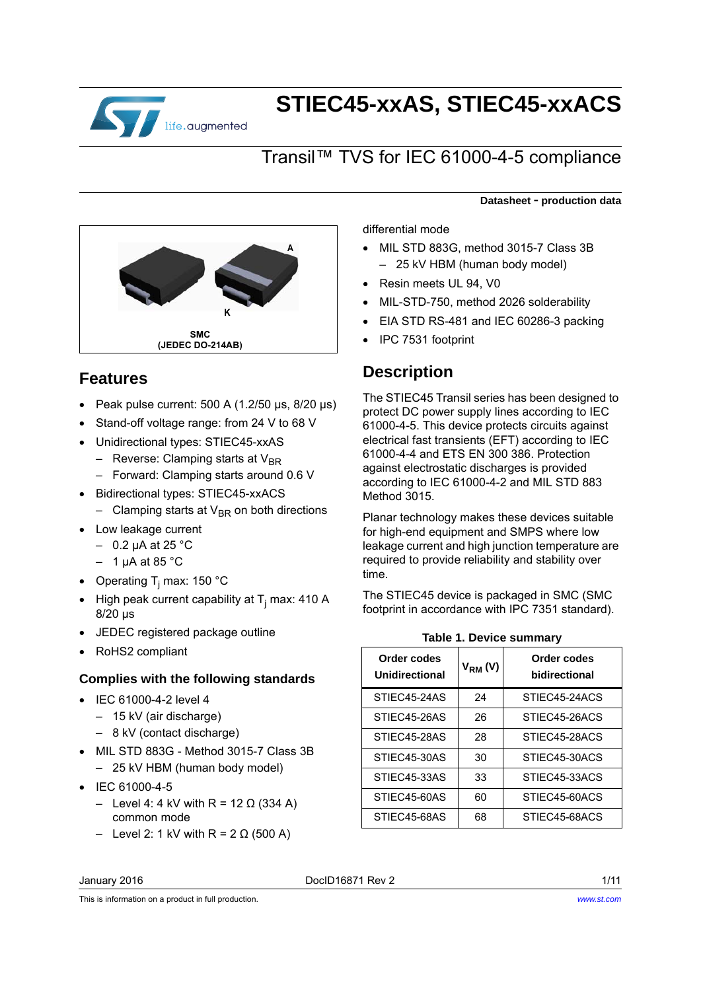

# **STIEC45-xxAS, STIEC45-xxACS**

## Transil™ TVS for IEC 61000-4-5 compliance



## **Features**

- $\bullet$  Peak pulse current: 500 A (1.2/50 μs, 8/20 μs)
- Stand-off voltage range: from 24 V to 68 V
- Unidirectional types: STIEC45-xxAS
	- Reverse: Clamping starts at  $V_{BD}$
	- Forward: Clamping starts around 0.6 V
- Bidirectional types: STIEC45-xxACS – Clamping starts at  $V_{BR}$  on both directions
- Low leakage current
	- $-$  0.2 μA at 25 °C
	- $-1$  uA at 85 °C
- Operating T<sub>j</sub> max: 150 °C
- High peak current capability at  $T_j$  max: 410 A 8/20 μs
- JEDEC registered package outline
- RoHS2 compliant

#### **Complies with the following standards**

- IEC 61000-4-2 level 4
	- 15 kV (air discharge)
	- 8 kV (contact discharge)
- MIL STD 883G Method 3015-7 Class 3B – 25 kV HBM (human body model)
- $\bullet$  IEC 61000-4-5
	- Level 4: 4 kV with R = 12 Ω (334 A) common mode
	- Level 2: 1 kV with R =  $2 \Omega$  (500 A)

differential mode

 MIL STD 883G, method 3015-7 Class 3B – 25 kV HBM (human body model)

**Datasheet** - **production data**

- Resin meets UL 94, V0
- MIL-STD-750, method 2026 solderability
- EIA STD RS-481 and IEC 60286-3 packing
- IPC 7531 footprint

## **Description**

The STIEC45 Transil series has been designed to protect DC power supply lines according to IEC 61000-4-5. This device protects circuits against electrical fast transients (EFT) according to IEC 61000-4-4 and ETS EN 300 386. Protection against electrostatic discharges is provided according to IEC 61000-4-2 and MIL STD 883 Method 3015.

Planar technology makes these devices suitable for high-end equipment and SMPS where low leakage current and high junction temperature are required to provide reliability and stability over time.

The STIEC45 device is packaged in SMC (SMC footprint in accordance with IPC 7351 standard).

| Order codes<br>Unidirectional | $V_{RM} (V)$ | Order codes<br>bidirectional |
|-------------------------------|--------------|------------------------------|
| STIEC45-24AS                  | 24           | STIFC45-24ACS                |
| STIEC45-26AS                  | 26           | STIEC45-26ACS                |
| STIEC45-28AS                  | 28           | STIEC45-28ACS                |
| STIEC45-30AS                  | 30           | STIEC45-30ACS                |
| STIEC45-33AS                  | 33           | STIEC45-33ACS                |
| STIEC45-60AS                  | 60           | STIEC45-60ACS                |
| STIEC45-68AS                  | 68           | STIEC45-68ACS                |
|                               |              |                              |

**Table 1. Device summary**

January 2016 DocID16871 Rev 2 1/11

This is information on a product in full production.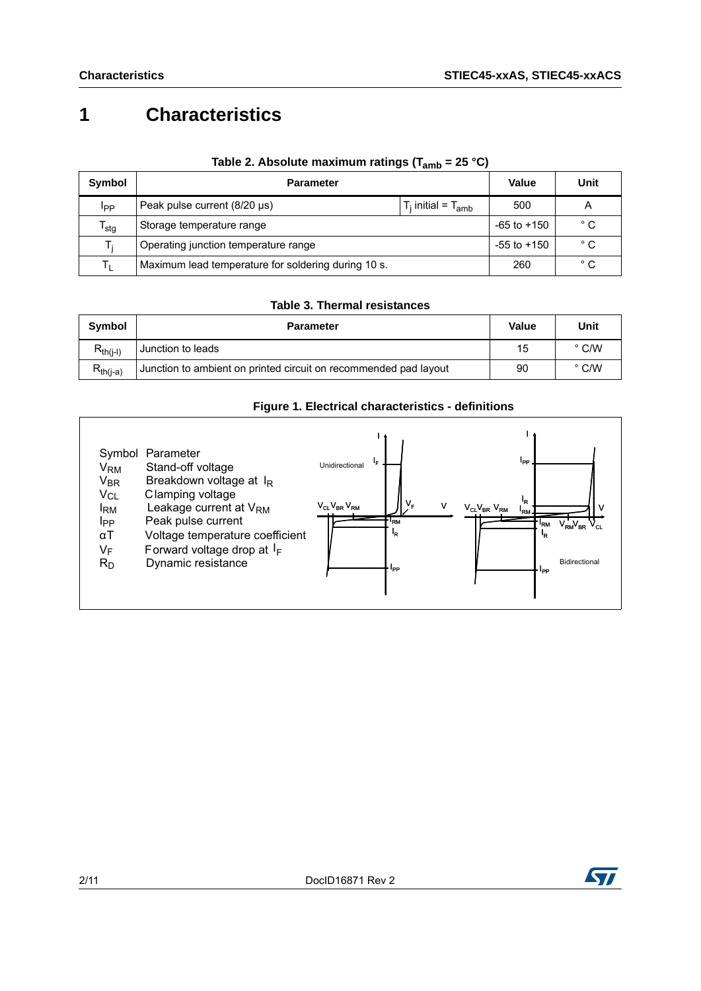## **1 Characteristics**

| <b>Symbol</b>             | <b>Parameter</b>                                          | Value           | Unit         |
|---------------------------|-----------------------------------------------------------|-----------------|--------------|
| Ipp                       | Peak pulse current (8/20 µs)<br>$T_i$ initial = $T_{amb}$ | 500             | A            |
| $\mathsf{T_{\text{stg}}}$ | Storage temperature range                                 | $-65$ to $+150$ | $^{\circ}$ C |
| T.                        | Operating junction temperature range                      | $-55$ to $+150$ | $^{\circ}$ C |
|                           | Maximum lead temperature for soldering during 10 s.       | 260             | $^{\circ}$ C |

#### Table 2. Absolute maximum ratings (T<sub>amb</sub> = 25 °C)

#### **Table 3. Thermal resistances**

| Symbol        | <b>Parameter</b>                                                 | Value | Unit          |
|---------------|------------------------------------------------------------------|-------|---------------|
| $R_{th(j-l)}$ | Junction to leads                                                | 15    | $\degree$ C/W |
| $R_{th(i-a)}$ | Junction to ambient on printed circuit on recommended pad layout | 90    | $\degree$ C/W |

#### **Figure 1. Electrical characteristics - definitions**



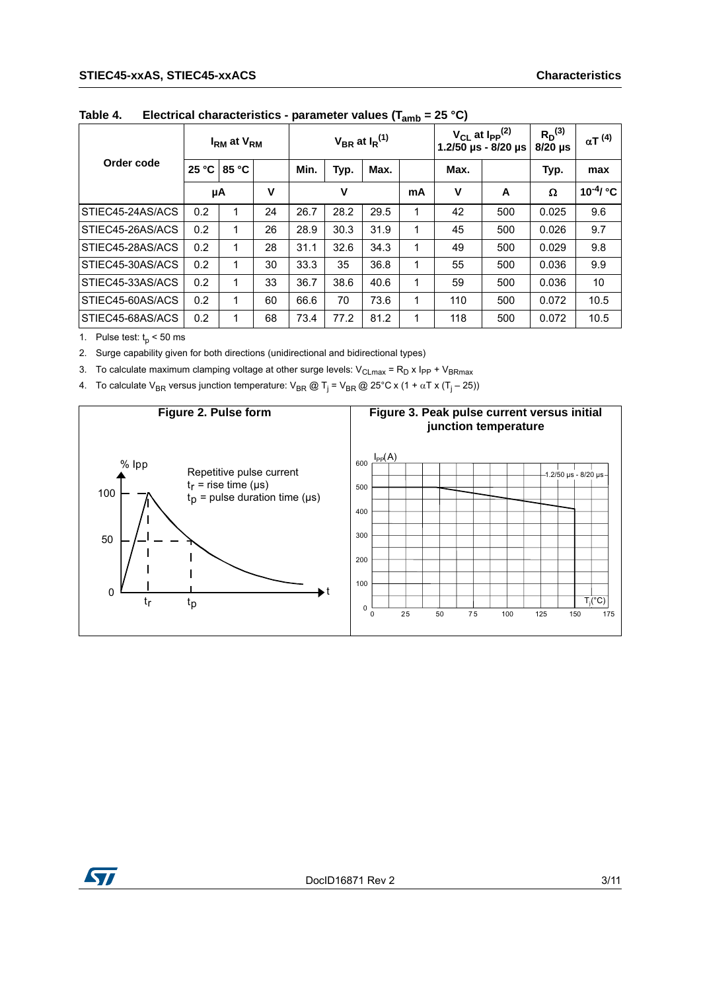#### **STIEC45-xxAS, STIEC45-xxACS Characteristics**

|                  |       | I <sub>RM</sub> at V <sub>RM</sub> |    |      |      | $V_{BR}$ at $I_R^{(1)}$ |    |      | $V_{CL}$ at $I_{PP}$ <sup>(2)</sup><br>1.2/50 µs - 8/20 µs | $R_D^{(3)}$<br>$8/20$ µs | $\alpha T^{(4)}$         |
|------------------|-------|------------------------------------|----|------|------|-------------------------|----|------|------------------------------------------------------------|--------------------------|--------------------------|
| Order code       | 25 °C | 85 °C                              |    | Min. | Typ. | Max.                    |    | Max. |                                                            | Typ.                     | max                      |
|                  |       | μA                                 | v  |      | ۷    |                         | mA | v    | A                                                          | Ω                        | $10^{-4}$ / $^{\circ}$ C |
| STIEC45-24AS/ACS | 0.2   |                                    | 24 | 26.7 | 28.2 | 29.5                    | 1  | 42   | 500                                                        | 0.025                    | 9.6                      |
| STIEC45-26AS/ACS | 0.2   |                                    | 26 | 28.9 | 30.3 | 31.9                    | 1  | 45   | 500                                                        | 0.026                    | 9.7                      |
| STIEC45-28AS/ACS | 0.2   | 1                                  | 28 | 31.1 | 32.6 | 34.3                    | 1  | 49   | 500                                                        | 0.029                    | 9.8                      |
| STIEC45-30AS/ACS | 0.2   | 1                                  | 30 | 33.3 | 35   | 36.8                    | 1  | 55   | 500                                                        | 0.036                    | 9.9                      |
| STIEC45-33AS/ACS | 0.2   | 1                                  | 33 | 36.7 | 38.6 | 40.6                    | 1  | 59   | 500                                                        | 0.036                    | 10                       |
| STIEC45-60AS/ACS | 0.2   | 1                                  | 60 | 66.6 | 70   | 73.6                    | 1  | 110  | 500                                                        | 0.072                    | 10.5                     |
| STIEC45-68AS/ACS | 0.2   | 1                                  | 68 | 73.4 | 77.2 | 81.2                    | 1  | 118  | 500                                                        | 0.072                    | 10.5                     |

**Table 4. Electrical characteristics - parameter values (Tamb = 25 °C)**

1. Pulse test:  $t_p < 50$  ms

2. Surge capability given for both directions (unidirectional and bidirectional types)

3. To calculate maximum clamping voltage at other surge levels:  $V_{CLmax} = R_D x I_{PP} + V_{BRmax}$ 

4. To calculate V<sub>BR</sub> versus junction temperature: V<sub>BR</sub> @ T<sub>j</sub> = V<sub>BR</sub> @ 25°C x (1 +  $\alpha$ T x (T<sub>j</sub> – 25))



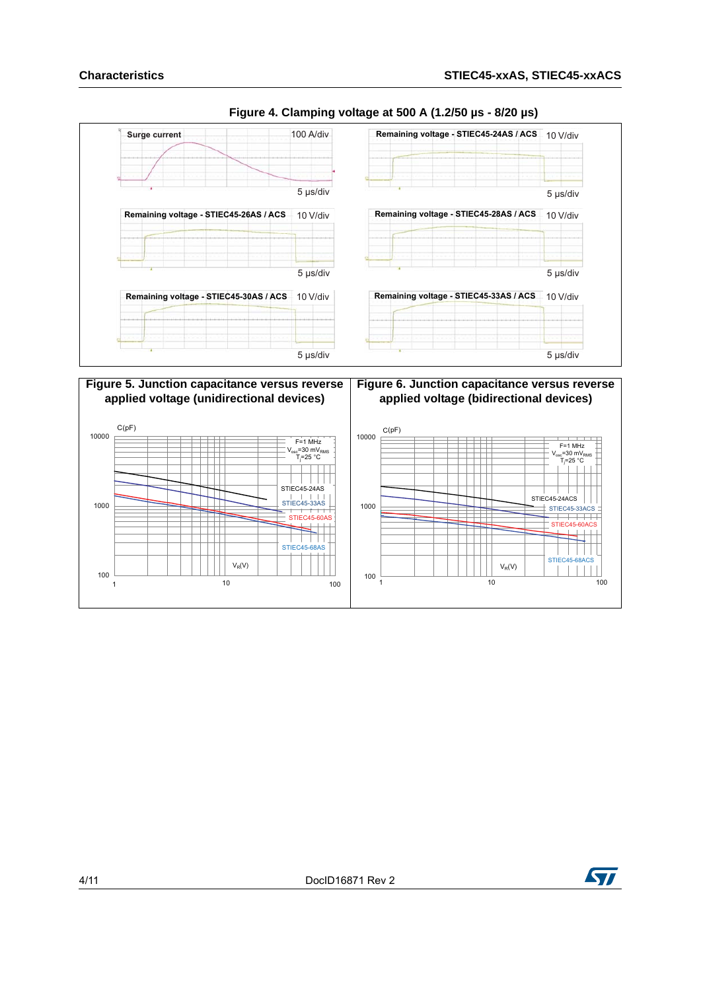

#### **Figure 4. Clamping voltage at 500 A (1.2/50 µs - 8/20 µs)**



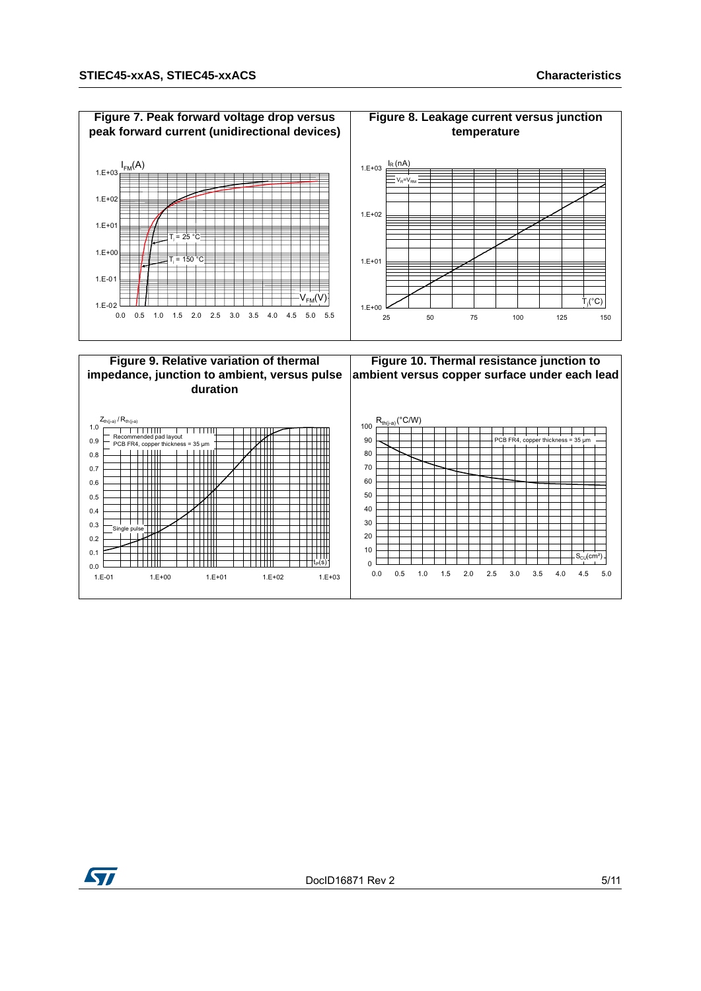

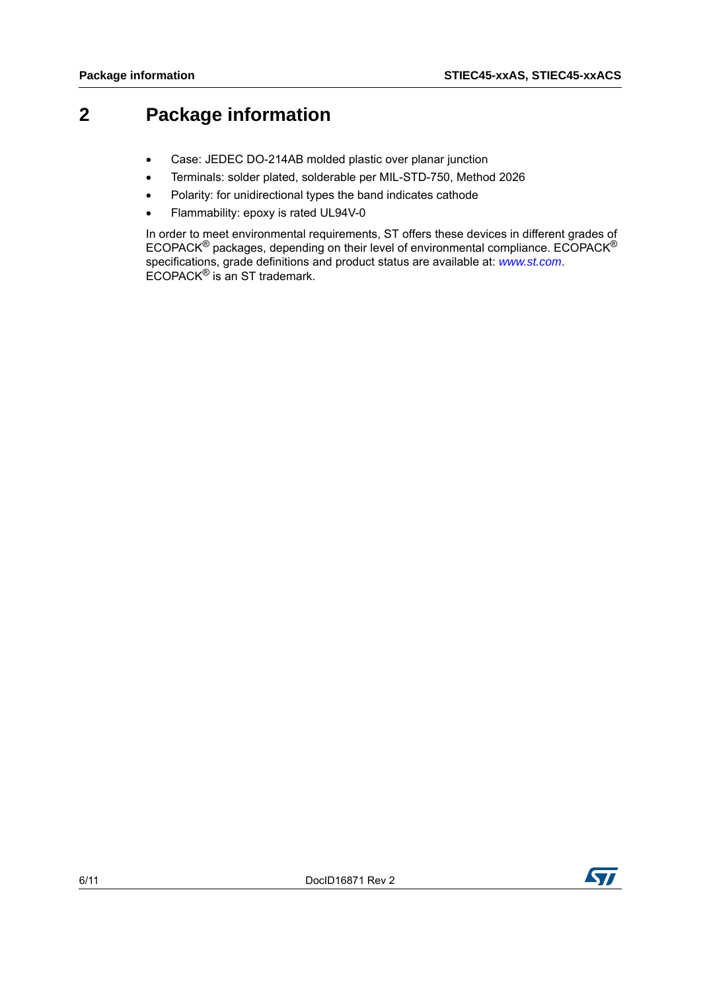## **2 Package information**

- Case: JEDEC DO-214AB molded plastic over planar junction
- Terminals: solder plated, solderable per MIL-STD-750, Method 2026
- Polarity: for unidirectional types the band indicates cathode
- Flammability: epoxy is rated UL94V-0

In order to meet environmental requirements, ST offers these devices in different grades of ECOPACK<sup>®</sup> packages, depending on their level of environmental compliance. ECOPACK<sup>®</sup> specifications, grade definitions and product status are available at: *[www.st.com](http://www.st.com)*. ECOPACK<sup>®</sup> is an ST trademark.

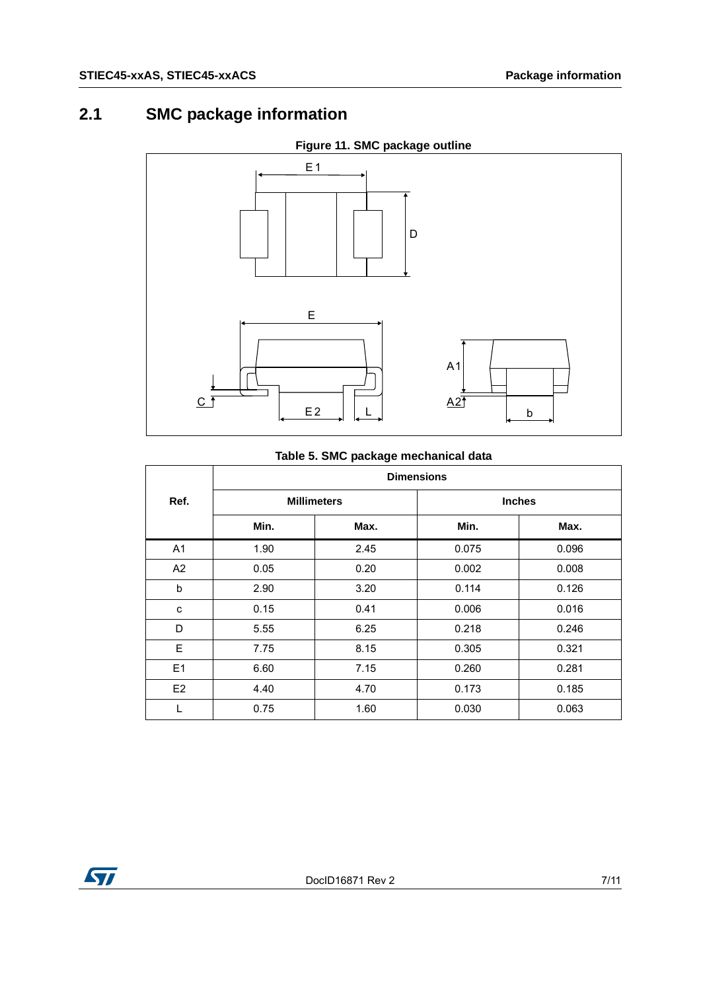## **2.1 SMC package information**



### **Figure 11. SMC package outline**

#### **Table 5. SMC package mechanical data**

|                | <b>Dimensions</b>  |      |               |       |  |  |
|----------------|--------------------|------|---------------|-------|--|--|
| Ref.           | <b>Millimeters</b> |      | <b>Inches</b> |       |  |  |
|                | Min.               | Max. | Min.          | Max.  |  |  |
| A <sub>1</sub> | 1.90               | 2.45 | 0.075         | 0.096 |  |  |
| A2             | 0.05               | 0.20 | 0.002         | 0.008 |  |  |
| b              | 2.90               | 3.20 | 0.114         | 0.126 |  |  |
| С              | 0.15               | 0.41 | 0.006         | 0.016 |  |  |
| D              | 5.55               | 6.25 | 0.218         | 0.246 |  |  |
| E              | 7.75               | 8.15 | 0.305         | 0.321 |  |  |
| E1             | 6.60               | 7.15 | 0.260         | 0.281 |  |  |
| E <sub>2</sub> | 4.40               | 4.70 | 0.173         | 0.185 |  |  |
| L              | 0.75               | 1.60 | 0.030         | 0.063 |  |  |

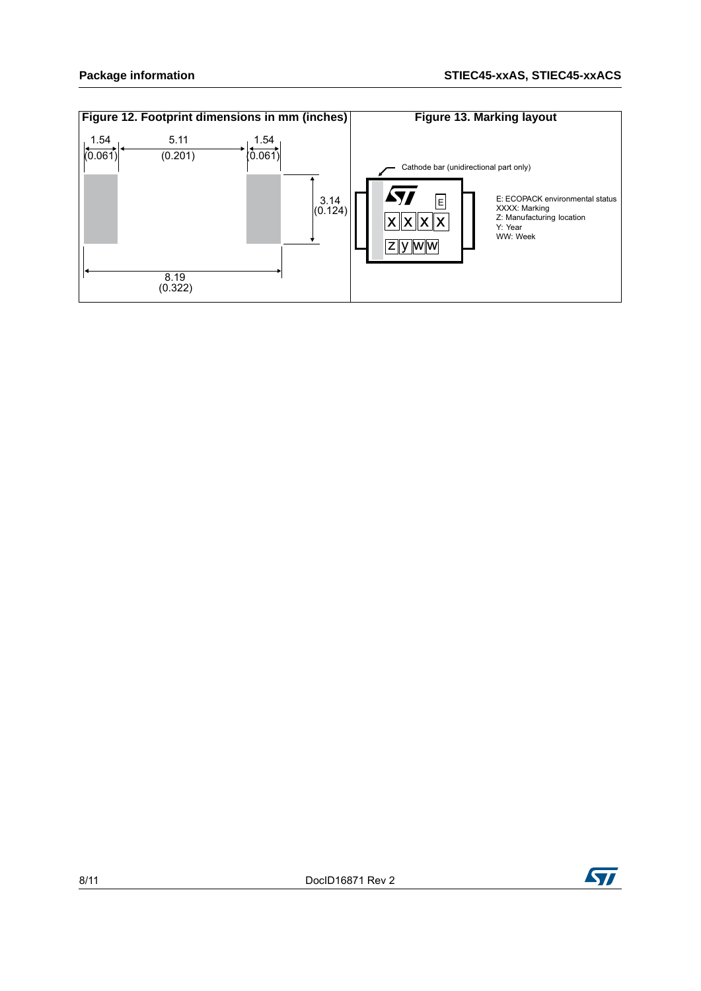

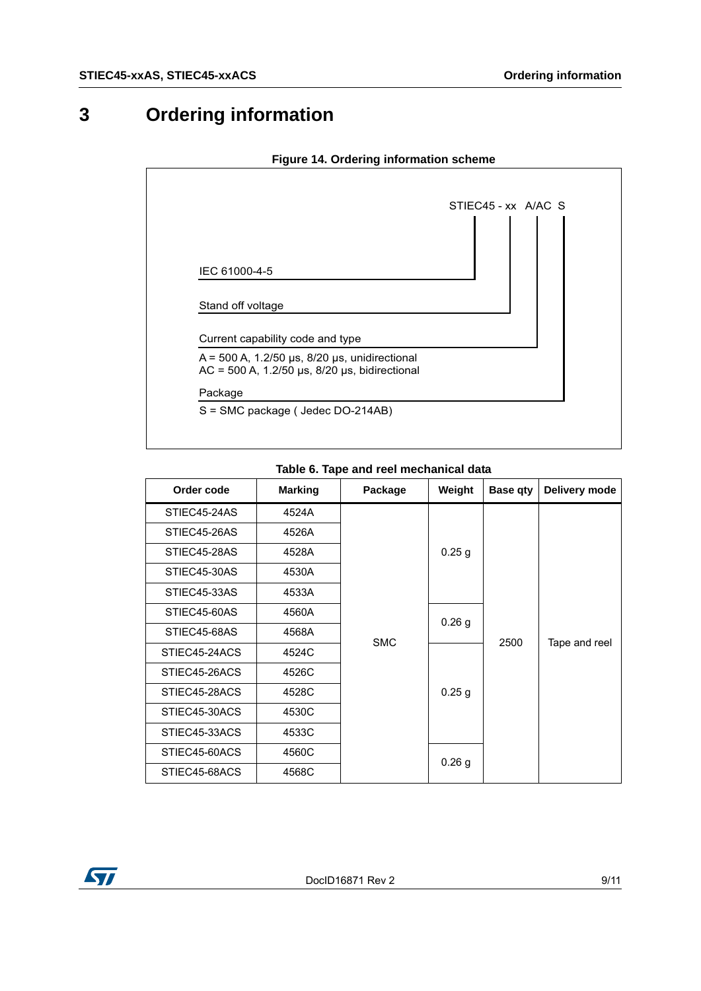# **3 Ordering information**

|                                                                                                                | STIEC45 - xx A/AC S |
|----------------------------------------------------------------------------------------------------------------|---------------------|
|                                                                                                                |                     |
| IEC 61000-4-5                                                                                                  |                     |
| Stand off voltage                                                                                              |                     |
| Current capability code and type                                                                               |                     |
| $A = 500$ A, 1.2/50 µs, 8/20 µs, unidirectional<br>$AC = 500$ A, 1.2/50 $\mu s$ , 8/20 $\mu s$ , bidirectional |                     |
| Package                                                                                                        |                     |

#### **Figure 14. Ordering information scheme**

| Table 6. Tape and reel mechanical data |  |  |  |  |  |
|----------------------------------------|--|--|--|--|--|
|----------------------------------------|--|--|--|--|--|

| Order code    | <b>Marking</b> | Package    | Weight            | <b>Base gty</b> | Delivery mode |
|---------------|----------------|------------|-------------------|-----------------|---------------|
| STIEC45-24AS  | 4524A          |            |                   |                 |               |
| STIEC45-26AS  | 4526A          |            | 0.25 <sub>g</sub> | 2500            |               |
| STIEC45-28AS  | 4528A          |            |                   |                 |               |
| STIEC45-30AS  | 4530A          |            |                   |                 | Tape and reel |
| STIEC45-33AS  | 4533A          |            |                   |                 |               |
| STIEC45-60AS  | 4560A          | <b>SMC</b> | $0.26$ g          |                 |               |
| STIEC45-68AS  | 4568A          |            |                   |                 |               |
| STIEC45-24ACS | 4524C          |            | $0.25$ g          |                 |               |
| STIEC45-26ACS | 4526C          |            |                   |                 |               |
| STIEC45-28ACS | 4528C          |            |                   |                 |               |
| STIEC45-30ACS | 4530C          |            |                   |                 |               |
| STIEC45-33ACS | 4533C          |            |                   |                 |               |
| STIEC45-60ACS | 4560C          |            |                   |                 |               |
| STIEC45-68ACS | 4568C          |            | 0.26 <sub>g</sub> |                 |               |

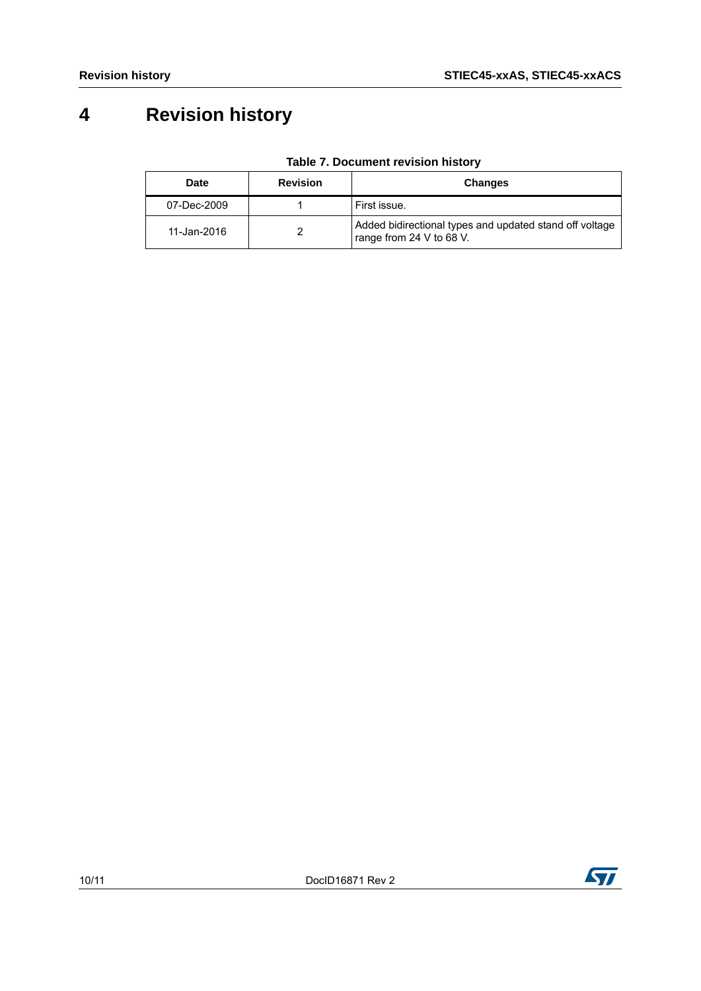## **4 Revision history**

| Date        | <b>Revision</b> | <b>Changes</b>                                                                      |
|-------------|-----------------|-------------------------------------------------------------------------------------|
| 07-Dec-2009 |                 | First issue.                                                                        |
| 11-Jan-2016 |                 | Added bidirectional types and updated stand off voltage<br>range from 24 V to 68 V. |

**Table 7. Document revision history**